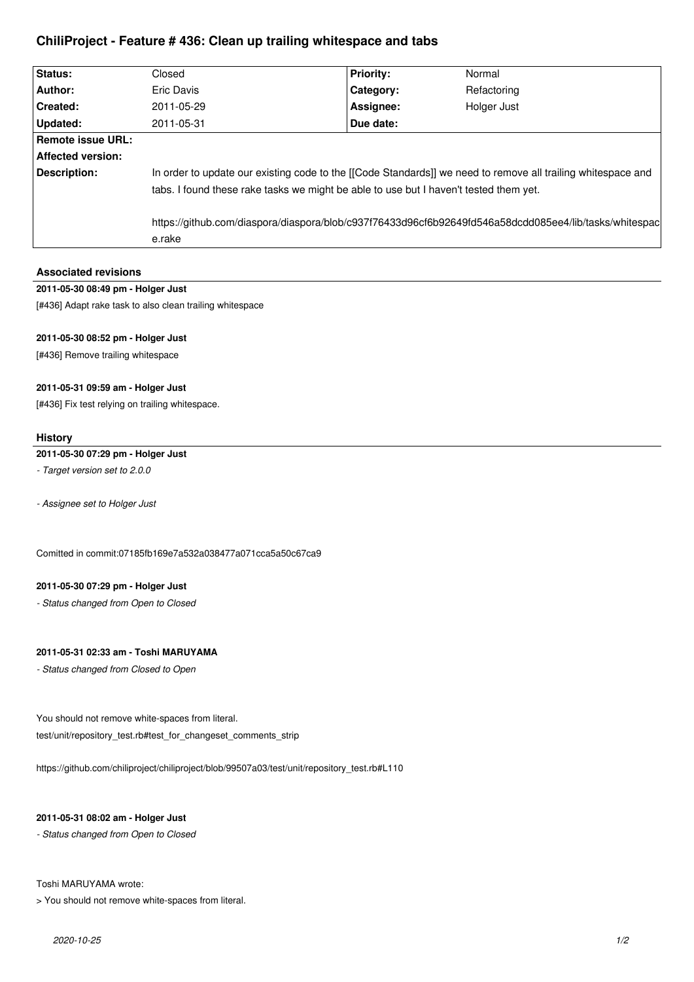# **ChiliProject - Feature # 436: Clean up trailing whitespace and tabs**

| Status:                  | Closed                                                                                                                                                                                                | <b>Priority:</b> | Normal      |
|--------------------------|-------------------------------------------------------------------------------------------------------------------------------------------------------------------------------------------------------|------------------|-------------|
| Author:                  | Eric Davis                                                                                                                                                                                            | Category:        | Refactoring |
| Created:                 | 2011-05-29                                                                                                                                                                                            | Assignee:        | Holger Just |
| Updated:                 | 2011-05-31                                                                                                                                                                                            | Due date:        |             |
| Remote issue URL:        |                                                                                                                                                                                                       |                  |             |
| <b>Affected version:</b> |                                                                                                                                                                                                       |                  |             |
| Description:             | In order to update our existing code to the [[Code Standards]] we need to remove all trailing whitespace and<br>tabs. I found these rake tasks we might be able to use but I haven't tested them yet. |                  |             |
|                          | https://github.com/diaspora/diaspora/blob/c937f76433d96cf6b92649fd546a58dcdd085ee4/lib/tasks/whitespac<br>e.rake                                                                                      |                  |             |

# **Associated revisions**

# **2011-05-30 08:49 pm - Holger Just**

[#436] Adapt rake task to also clean trailing whitespace

# **2011-05-30 08:52 pm - Holger Just**

[#436] Remove trailing whitespace

## **2011-05-31 09:59 am - Holger Just**

[#436] Fix test relying on trailing whitespace.

#### **History**

# **2011-05-30 07:29 pm - Holger Just**

*- Target version set to 2.0.0*

*- Assignee set to Holger Just*

Comitted in commit:07185fb169e7a532a038477a071cca5a50c67ca9

#### **2011-05-30 07:29 pm - Holger Just**

*- Status changed from Open to Closed*

# **2011-05-31 02:33 am - Toshi MARUYAMA**

*- Status changed from Closed to Open*

You should not remove white-spaces from literal. test/unit/repository\_test.rb#test\_for\_changeset\_comments\_strip

https://github.com/chiliproject/chiliproject/blob/99507a03/test/unit/repository\_test.rb#L110

### **2011-05-31 08:02 am - Holger Just**

*- Status changed from Open to Closed*

#### Toshi MARUYAMA wrote:

> You should not remove white-spaces from literal.